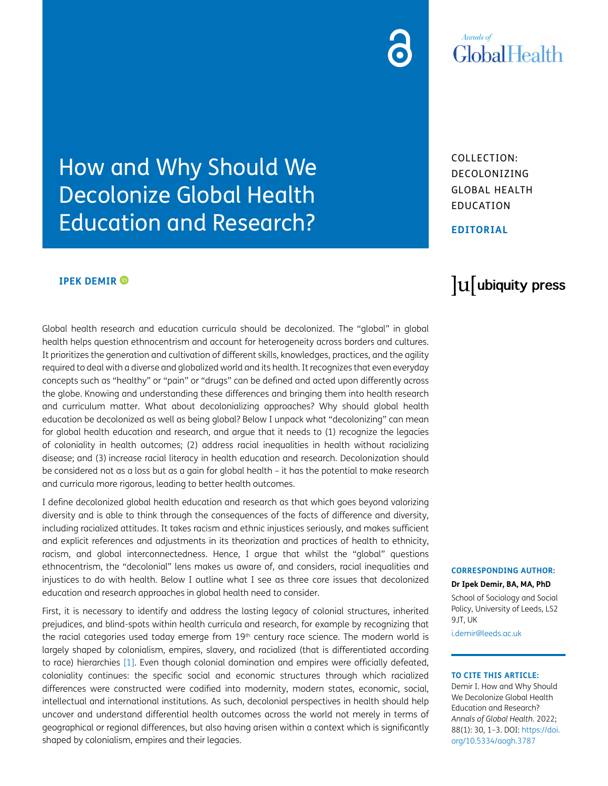# **Annals** of **GlobalHealth**

COLLECTION: DECOLONIZING GLOBAL HEALTH EDUCATION

### **EDITORIAL**

### **IPEK DEMIR ®**

Global health research and education curricula should be decolonized. The "global" in global health helps question ethnocentrism and account for heterogeneity across borders and cultures. It prioritizes the generation and cultivation of different skills, knowledges, practices, and the agility required to deal with a diverse and globalized world and its health. It recognizes that even everyday concepts such as "healthy" or "pain" or "drugs" can be defined and acted upon differently across the globe. Knowing and understanding these differences and bringing them into health research and curriculum matter. What about decolonializing approaches? Why should global health education be decolonized as well as being global? Below I unpack what "decolonizing" can mean for global health education and research, and argue that it needs to (1) recognize the legacies of coloniality in health outcomes; (2) address racial inequalities in health without racializing disease; and (3) increase racial literacy in health education and research. Decolonization should be considered not as a loss but as a gain for global health – it has the potential to make research and curricula more rigorous, leading to better health outcomes.

How and Why Should We

Decolonize Global Health

Education and Research?

I define decolonized global health education and research as that which goes beyond valorizing diversity and is able to think through the consequences of the facts of difference and diversity, including racialized attitudes. It takes racism and ethnic injustices seriously, and makes sufficient and explicit references and adjustments in its theorization and practices of health to ethnicity, racism, and global interconnectedness. Hence, I argue that whilst the "global" questions ethnocentrism, the "decolonial" lens makes us aware of, and considers, racial inequalities and injustices to do with health. Below I outline what I see as three core issues that decolonized education and research approaches in global health need to consider.

First, it is necessary to identify and address the lasting legacy of colonial structures, inherited prejudices, and blind-spots within health curricula and research, for example by recognizing that the racial categories used today emerge from 19<sup>th</sup> century race science. The modern world is largely shaped by colonialism, empires, slavery, and racialized (that is differentiated according to race) hierarchies [\[1\]](#page-2-0). Even though colonial domination and empires were officially defeated, coloniality continues: the specific social and economic structures through which racialized differences were constructed were codified into modernity, modern states, economic, social, intellectual and international institutions. As such, decolonial perspectives in health should help uncover and understand differential health outcomes across the world not merely in terms of geographical or regional differences, but also having arisen within a context which is significantly shaped by colonialism, empires and their legacies.

# lu ubiquity press

#### **CORRESPONDING AUTHOR:**

**Dr Ipek Demir, BA, MA, PhD** School of Sociology and Social Policy, University of Leeds, LS2 9JT, UK [i.demir@leeds.ac.uk](mailto:i.demir@leeds.ac.uk)

#### **TO CITE THIS ARTICLE:**

Demir I. How and Why Should We Decolonize Global Health Education and Research? *Annals of Global Health*. 2022; 88(1): 30, 1–3. DOI: [https://doi.](https://doi.org/10.5334/aogh.3787) [org/10.5334/aogh.3787](https://doi.org/10.5334/aogh.3787)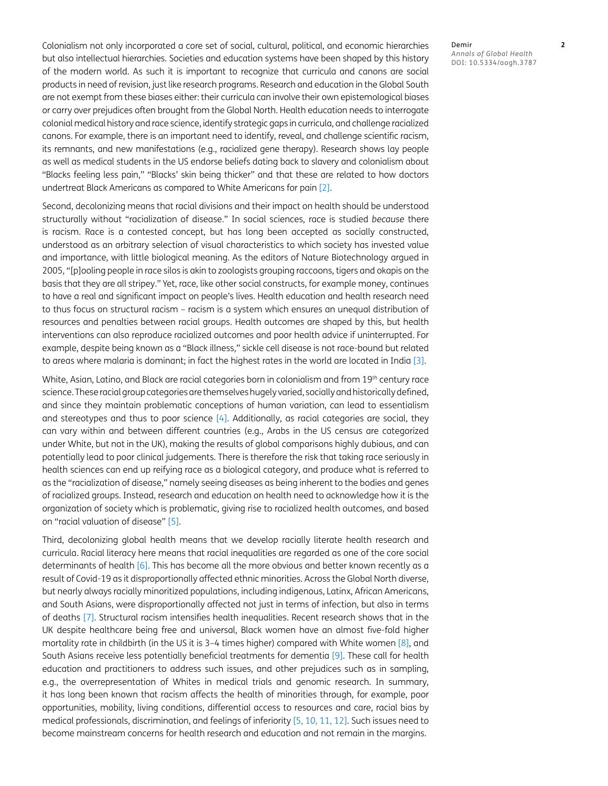Colonialism not only incorporated a core set of social, cultural, political, and economic hierarchies but also intellectual hierarchies. Societies and education systems have been shaped by this history of the modern world. As such it is important to recognize that curricula and canons are social products in need of revision, just like research programs. Research and education in the Global South are not exempt from these biases either: their curricula can involve their own epistemological biases or carry over prejudices often brought from the Global North. Health education needs to interrogate colonial medical history and race science, identify strategic gaps in curricula, and challenge racialized canons. For example, there is an important need to identify, reveal, and challenge scientific racism, its remnants, and new manifestations (e.g., racialized gene therapy). Research shows lay people as well as medical students in the US endorse beliefs dating back to slavery and colonialism about "Blacks feeling less pain," "Blacks' skin being thicker" and that these are related to how doctors undertreat Black Americans as compared to White Americans for pain [\[2](#page-2-1)].

Second, decolonizing means that racial divisions and their impact on health should be understood structurally without "racialization of disease." In social sciences, race is studied *because* there is racism. Race is a contested concept, but has long been accepted as socially constructed, understood as an arbitrary selection of visual characteristics to which society has invested value and importance, with little biological meaning. As the editors of Nature Biotechnology argued in 2005, "[p]ooling people in race silos is akin to zoologists grouping raccoons, tigers and okapis on the basis that they are all stripey." Yet, race, like other social constructs, for example money, continues to have a real and significant impact on people's lives. Health education and health research need to thus focus on structural racism – racism is a system which ensures an unequal distribution of resources and penalties between racial groups. Health outcomes are shaped by this, but health interventions can also reproduce racialized outcomes and poor health advice if uninterrupted. For example, despite being known as a "Black illness," sickle cell disease is not race-bound but related to areas where malaria is dominant; in fact the highest rates in the world are located in India [\[3](#page-2-2)].

White, Asian, Latino, and Black are racial categories born in colonialism and from 19th century race science. These racial group categories are themselves hugely varied, socially and historically defined, and since they maintain problematic conceptions of human variation, can lead to essentialism and stereotypes and thus to poor science [[4\]](#page-2-3). Additionally, as racial categories are social, they can vary within and between different countries (e.g., Arabs in the US census are categorized under White, but not in the UK), making the results of global comparisons highly dubious, and can potentially lead to poor clinical judgements. There is therefore the risk that taking race seriously in health sciences can end up reifying race as a biological category, and produce what is referred to as the "racialization of disease," namely seeing diseases as being inherent to the bodies and genes of racialized groups. Instead, research and education on health need to acknowledge how it is the organization of society which is problematic, giving rise to racialized health outcomes, and based on "racial valuation of disease" [\[5](#page-2-4)].

Third, decolonizing global health means that we develop racially literate health research and curricula. Racial literacy here means that racial inequalities are regarded as one of the core social determinants of health [[6\]](#page-2-5). This has become all the more obvious and better known recently as a result of Covid-19 as it disproportionally affected ethnic minorities. Across the Global North diverse, but nearly always racially minoritized populations, including indigenous, Latinx, African Americans, and South Asians, were disproportionally affected not just in terms of infection, but also in terms of deaths [[7\]](#page-2-6). Structural racism intensifies health inequalities. Recent research shows that in the UK despite healthcare being free and universal, Black women have an almost five-fold higher mortality rate in childbirth (in the US it is 3–4 times higher) compared with White women [[8](#page-2-7)], and South Asians receive less potentially beneficial treatments for dementia [\[9](#page-2-8)]. These call for health education and practitioners to address such issues, and other prejudices such as in sampling, e.g., the overrepresentation of Whites in medical trials and genomic research. In summary, it has long been known that racism affects the health of minorities through, for example, poor opportunities, mobility, living conditions, differential access to resources and care, racial bias by medical professionals, discrimination, and feelings of inferiority [\[5](#page-2-4), [10,](#page-2-9) [11](#page-2-10), [12\]](#page-2-11). Such issues need to become mainstream concerns for health research and education and not remain in the margins.